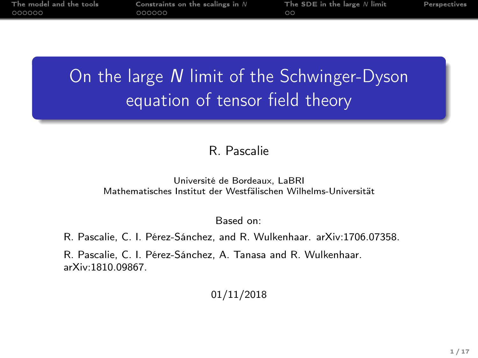| The model and the tools | Constraints on the scalings in $N$ | The SDE in the large $N$ limit | Perspectives |
|-------------------------|------------------------------------|--------------------------------|--------------|
| 000000                  | റററററ                              | ററ                             |              |
|                         |                                    |                                |              |

# On the large N limit of the Schwinger-Dyson equation of tensor field theory

#### R. Pascalie

#### Université de Bordeaux, LaBRI Mathematisches Institut der Westfälischen Wilhelms-Universität

Based on:

R. Pascalie, C. I. Pérez-Sánchez, and R. Wulkenhaar. arXiv:1706.07358.

R. Pascalie, C. I. Pérez-Sánchez, A. Tanasa and R. Wulkenhaar. arXiv:1810.09867.

#### 01/11/2018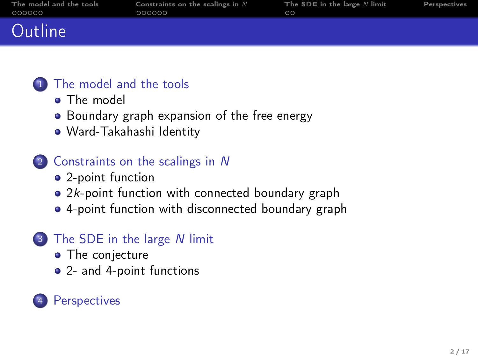| The model and the tools | Constraints on the scalings in $N$ | The SDE in the large $N$ limit | Perspectives |
|-------------------------|------------------------------------|--------------------------------|--------------|
| 000000                  | 000000                             | $\circ$                        |              |
| Outline                 |                                    |                                |              |

#### <sup>1</sup> [The model and the tools](#page-2-0)

- **a** [The model](#page-2-0)
- [Boundary graph expansion of the free energy](#page-3-0)
- [Ward-Takahashi Identity](#page-6-0)

#### <sup>2</sup> [Constraints on the scalings in](#page-8-0) N

- [2-point function](#page-8-0)
- 2k[-point function with connected boundary graph](#page-14-0)
- [4-point function with disconnected boundary graph](#page-20-0)

## <sup>3</sup> [The SDE in the large](#page-24-0) N limit

- [The conjecture](#page-24-0)
- [2- and 4-point functions](#page-25-0)

## **[Perspectives](#page-26-0)**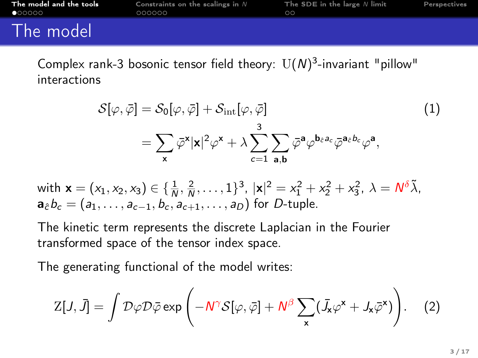<span id="page-2-0"></span>

| The model and the tools | Constraints on the scalings in $N$ | The SDE in the large $N$ limit | Perspectives |
|-------------------------|------------------------------------|--------------------------------|--------------|
| 000000                  | nnnnnn                             | ററ                             |              |
| The model               |                                    |                                |              |

Complex rank-3 bosonic tensor field theory:  $\mathrm{U}(N)^3$ -invariant "pillow" interactions

$$
\mathcal{S}[\varphi,\bar{\varphi}] = \mathcal{S}_0[\varphi,\bar{\varphi}] + \mathcal{S}_{int}[\varphi,\bar{\varphi}]
$$
\n
$$
= \sum_{\mathbf{x}} \bar{\varphi}^{\mathbf{x}} |\mathbf{x}|^2 \varphi^{\mathbf{x}} + \lambda \sum_{c=1}^3 \sum_{\mathbf{a},\mathbf{b}} \bar{\varphi}^{\mathbf{a}} \varphi^{\mathbf{b}_{\bar{c}}a_c} \bar{\varphi}^{\mathbf{a}_{\bar{c}}b_c} \varphi^{\mathbf{a}},
$$
\n(1)

with  $\mathbf{x} = (x_1, x_2, x_3) \in \{\frac{1}{N}, \frac{2}{N}, \dots, 1\}^3$ ,  $|\mathbf{x}|^2 = x_1^2 + x_2^2 + x_3^2$ ,  $\lambda = N^{\delta} \tilde{\lambda}$ ,  $a_{\hat{c}}b_{c} = (a_1, \ldots, a_{c-1}, b_c, a_{c+1}, \ldots, a_D)$  for D-tuple.

The kinetic term represents the discrete Laplacian in the Fourier transformed space of the tensor index space.

The generating functional of the model writes:

$$
Z[J,\bar{J}] = \int \mathcal{D}\varphi \mathcal{D}\bar{\varphi} \exp\left(-N^{\gamma}\mathcal{S}[\varphi,\bar{\varphi}] + N^{\beta} \sum_{\mathbf{x}} (\bar{J}_{\mathbf{x}}\varphi^{\mathbf{x}} + J_{\mathbf{x}}\bar{\varphi}^{\mathbf{x}})\right).
$$
 (2)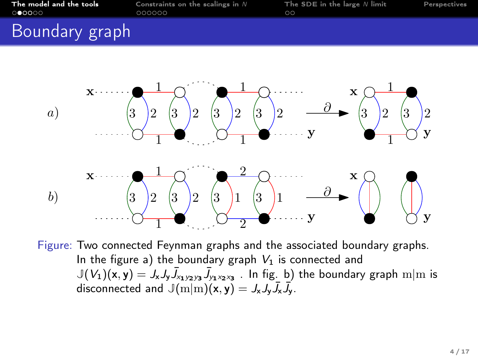<span id="page-3-0"></span>

| The model and the tools | Constraints on the scalings in $N$ | The SDE in the large $N$ limit | Perspectives |
|-------------------------|------------------------------------|--------------------------------|--------------|
| 000000                  | 000000                             | ററ                             |              |
| Boundary graph          |                                    |                                |              |



Figure: Two connected Feynman graphs and the associated boundary graphs. In the figure a) the boundary graph  $V_1$  is connected and  $\mathbb{J}(V_1)(\mathsf{x},\mathsf{y})=\mathsf{J}_{\mathsf{x}}\mathsf{J}_{\mathsf{y}}\bar{\mathsf{J}}_{\mathsf{x}_1\mathsf{y}_2\mathsf{y}_3}\bar{\mathsf{J}}_{\mathsf{y}_1\mathsf{x}_2\mathsf{x}_3}$  . In fig. b) the boundary graph  $\mathrm{m}|\mathrm{m}$  is disconnected and  $\mathbb{J}(m|m)(x, y) = J_x J_y \overline{J}_x \overline{J}_y$ .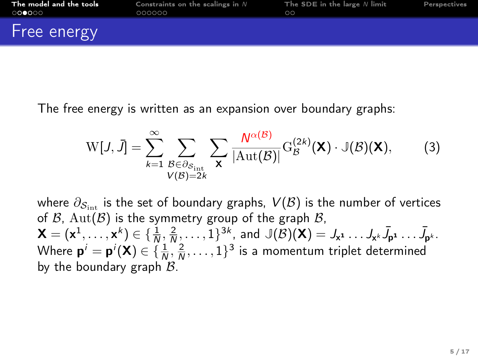| The model and the tools              | Constraints on the scalings in $N$ | The SDE in the large $N$ limit | Perspectives |
|--------------------------------------|------------------------------------|--------------------------------|--------------|
| $\circ\bullet\bullet\circ\circ\circ$ | 000000                             | ററ                             |              |
| Free energy                          |                                    |                                |              |

The free energy is written as an expansion over boundary graphs:

$$
W[J, \bar{J}] = \sum_{k=1}^{\infty} \sum_{\substack{\mathcal{B} \in \partial_{\mathcal{S}_{int}} \\ V(\mathcal{B}) = 2k}} \sum_{\mathbf{X}} \frac{N^{\alpha(\mathcal{B})}}{|\mathrm{Aut}(\mathcal{B})|} G_{\mathcal{B}}^{(2k)}(\mathbf{X}) \cdot \mathbb{J}(\mathcal{B})(\mathbf{X}), \tag{3}
$$

where  $\partial_{S_{i+1}}$  is the set of boundary graphs,  $V(\mathcal{B})$  is the number of vertices of  $\beta$ ,  $Aut(\beta)$  is the symmetry group of the graph  $\beta$ ,  $\mathsf{X}=(\mathsf{x}^1,\ldots,\mathsf{x}^k) \in \{\frac{1}{N},\frac{2}{N},\ldots,1\}^{3k}$ , and  $\mathbb{J}(\mathcal{B})(\mathsf{X})= \mathcal{J}_{\mathsf{x}^1}\ldots \mathcal{J}_{\mathsf{x}^k}\bar{\mathcal{J}}_{\mathsf{p}^1}\ldots \bar{\mathcal{J}}_{\mathsf{p}^k}.$ Where  $\mathbf{p}^i = \mathbf{p}^i(\mathsf{X}) \in \{\frac{1}{N}, \frac{2}{N}, \dots, 1\}^3$  is a momentum triplet determined by the boundary graph  $B$ .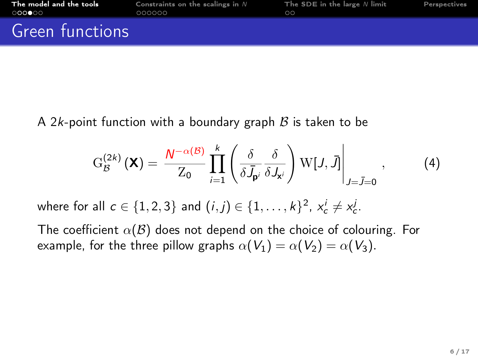| The model and the tools | Constraints on the scalings in $N$ | The SDE in the large $N$ limit | Perspectives |
|-------------------------|------------------------------------|--------------------------------|--------------|
| 000000                  | 000000                             | ററ                             |              |
| Green functions         |                                    |                                |              |

A 2k-point function with a boundary graph  $\beta$  is taken to be

$$
G_{\mathcal{B}}^{(2k)}(\mathbf{X}) = \frac{N^{-\alpha(\mathcal{B})}}{Z_0} \prod_{i=1}^{k} \left( \frac{\delta}{\delta J_{\mathbf{p}^i}} \frac{\delta}{\delta J_{\mathbf{x}^i}} \right) W[J, \bar{J}] \Big|_{J=\bar{J}=0}, \quad (4)
$$

where for all  $c \in \{1,2,3\}$  and  $(i,j) \in \{1,\ldots,k\}^2$ ,  $x_c^i \neq x_c^j$ .

The coefficient  $\alpha(\mathcal{B})$  does not depend on the choice of colouring. For example, for the three pillow graphs  $\alpha(V_1) = \alpha(V_2) = \alpha(V_3)$ .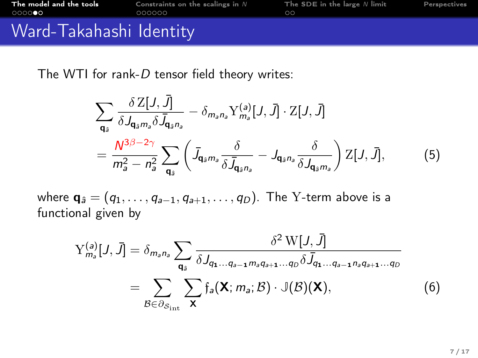<span id="page-6-0"></span>

| The model and the tools | Constraints on the scalings in $N$ | The SDE in the large $N$ limit | Perspectives |
|-------------------------|------------------------------------|--------------------------------|--------------|
| $0000$ 00               | 000000                             | ററ                             |              |
| Ward-Takahashi Identity |                                    |                                |              |

The WTI for rank-D tensor field theory writes:

$$
\sum_{\mathbf{q}_{\hat{s}}} \frac{\delta Z[J,\bar{J}]}{\delta J_{\mathbf{q}_{\hat{s}}m_{a}} \delta \bar{J}_{\mathbf{q}_{\hat{s}}n_{a}}} - \delta_{m_{a}n_{a}} Y^{(a)}_{m_{a}}[J,\bar{J}] \cdot Z[J,\bar{J}]
$$
  
= 
$$
\frac{N^{3\beta - 2\gamma}}{m_{a}^{2} - n_{a}^{2}} \sum_{\mathbf{q}_{\hat{s}}} \left( \bar{J}_{\mathbf{q}_{\hat{s}}m_{a}} \frac{\delta}{\delta \bar{J}_{\mathbf{q}_{\hat{s}}n_{a}}} - J_{\mathbf{q}_{\hat{s}}n_{a}} \frac{\delta}{\delta J_{\mathbf{q}_{\hat{s}}m_{a}}} \right) Z[J,\bar{J}],
$$
(5)

where  $\mathbf{q}_{\hat{a}} = (q_1, \ldots, q_{a-1}, q_{a+1}, \ldots, q_D)$ . The Y-term above is a functional given by

$$
Y_{m_s}^{(a)}[J, \bar{J}] = \delta_{m_s n_s} \sum_{q_s} \frac{\delta^2 W[J, \bar{J}]}{\delta J_{q_1 \dots q_{s-1} m_s q_{s+1} \dots q_D} \delta \bar{J}_{q_1 \dots q_{s-1} n_s q_{s+1} \dots q_D}}
$$
  
= 
$$
\sum_{\mathcal{B} \in \partial S_{\text{int}}} \sum_{\mathbf{x}} f_a(\mathbf{X}; m_s; \mathcal{B}) \cdot \mathbb{J}(\mathcal{B})(\mathbf{X}),
$$
 (6)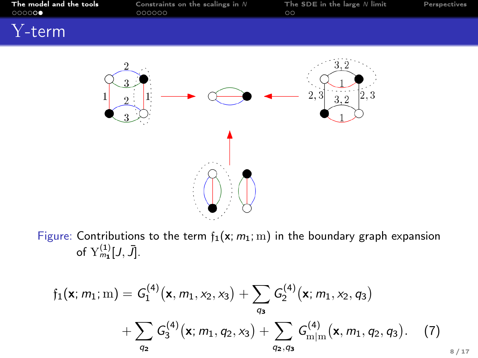| The model and the tools<br>000000 | Constraints on the scalings in $N$<br>000000 | The SDE in the large $N$ limit<br>$\circ$ | Perspectives |
|-----------------------------------|----------------------------------------------|-------------------------------------------|--------------|
| $Y$ -term                         |                                              |                                           |              |
|                                   |                                              | റ<br>$ 2,3\>$                             |              |

Figure: Contributions to the term  $f_1(x; m_1; m)$  in the boundary graph expansion of  $\operatorname{Y}^{(1)}_{m_{\mathbf{1}}}[J,\bar{J}].$ 

$$
\mathfrak{f}_1(\mathbf{x}; m_1; m) = G_1^{(4)}(\mathbf{x}, m_1, x_2, x_3) + \sum_{q_3} G_2^{(4)}(\mathbf{x}; m_1, x_2, q_3) + \sum_{q_2} G_3^{(4)}(\mathbf{x}; m_1, q_2, x_3) + \sum_{q_2, q_3} G_{m|m}^{(4)}(\mathbf{x}, m_1, q_2, q_3).
$$
 (7)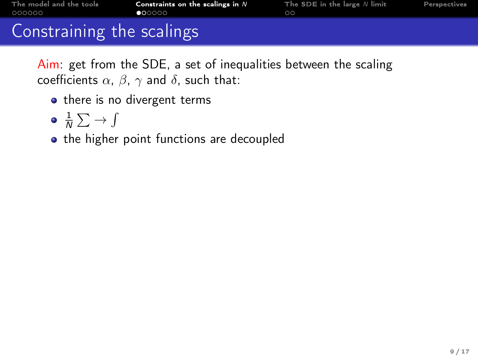<span id="page-8-0"></span>

| The model and the tools   | Constraints on the scalings in $N$ | The SDE in the large $N$ limit | Perspectives |
|---------------------------|------------------------------------|--------------------------------|--------------|
| 000000                    | $\bullet$ 00000                    | $\circ$                        |              |
| Constraining the scalings |                                    |                                |              |

Aim: get from the SDE, a set of inequalities between the scaling coefficients  $\alpha$ ,  $\beta$ ,  $\gamma$  and  $\delta$ , such that:

- there is no divergent terms
- $\frac{1}{N}\sum\rightarrow\int$
- the higher point functions are decoupled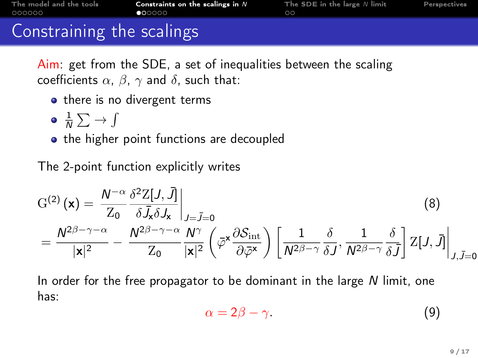| The model and the tools   | Constraints on the scalings in $N$ | The SDE in the large $N$ limit | Perspectives |
|---------------------------|------------------------------------|--------------------------------|--------------|
| 000000                    | 000000                             | ററ                             |              |
| Constraining the scalings |                                    |                                |              |

Aim: get from the SDE, a set of inequalities between the scaling coefficients  $\alpha$ ,  $\beta$ ,  $\gamma$  and  $\delta$ , such that:

- there is no divergent terms
- $\frac{1}{N}\sum\rightarrow\int$
- the higher point functions are decoupled

The 2-point function explicitly writes

$$
G^{(2)}(\mathbf{x}) = \frac{N^{-\alpha}}{Z_0} \frac{\delta^2 Z[J, \bar{J}]}{\delta \bar{J}_x \delta J_x} \Big|_{J=\bar{J}=0}
$$
(8)  
= 
$$
\frac{N^{2\beta-\gamma-\alpha}}{|\mathbf{x}|^2} - \frac{N^{2\beta-\gamma-\alpha}}{Z_0} \frac{N^{\gamma}}{|\mathbf{x}|^2} \left( \bar{\varphi}^{\mathbf{x}} \frac{\partial S_{\rm int}}{\partial \bar{\varphi}^{\mathbf{x}}} \right) \left[ \frac{1}{N^{2\beta-\gamma}} \frac{\delta}{\delta J}, \frac{1}{N^{2\beta-\gamma}} \frac{\delta}{\delta \bar{J}} \right] Z[J, \bar{J}] \Big|_{J, \bar{J}=0}
$$

In order for the free propagator to be dominant in the large  $N$  limit, one has:

$$
\alpha = 2\beta - \gamma. \tag{9}
$$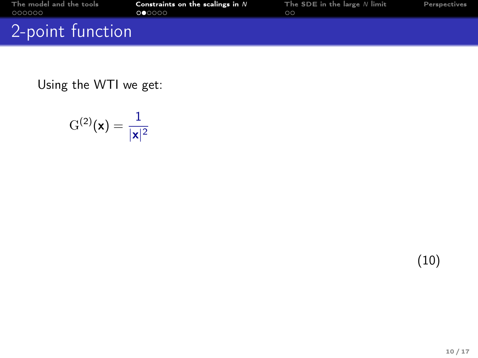| The model and the tools       | Constraints on the scalings in $N$ | The SDE in the large $N$ limit | Perspectives |
|-------------------------------|------------------------------------|--------------------------------|--------------|
| 000000                        | 000000                             | ററ                             |              |
| 2-point function <sup>1</sup> |                                    |                                |              |

$$
\mathrm{G}^{(2)}(\textbf{x})=\frac{1}{|\textbf{x}|^2}
$$

(10)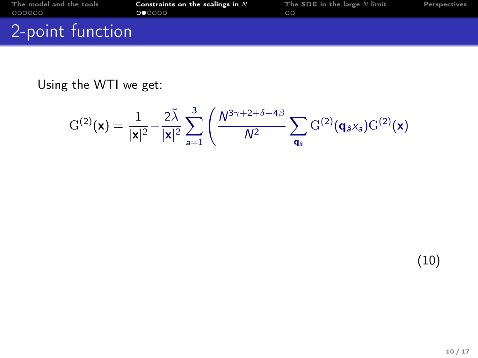| The model and the tools | Constraints on the scalings in $N$ | The SDE in the large $N$ limit | Perspectives |
|-------------------------|------------------------------------|--------------------------------|--------------|
| 000000                  | 000000                             | ററ                             |              |
| 2-point function        |                                    |                                |              |

$$
G^{(2)}(\mathbf{x}) = \frac{1}{|\mathbf{x}|^2} - \frac{2\tilde{\lambda}}{|\mathbf{x}|^2} \sum_{a=1}^3 \left( \frac{N^{3\gamma+2+\delta-4\beta}}{N^2} \sum_{\mathbf{q}_\delta} G^{(2)}(\mathbf{q}_{\hat{\sigma}} x_a) G^{(2)}(\mathbf{x}) \right)
$$

(10)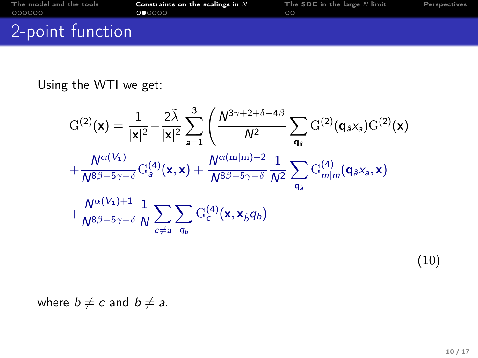| The model and the tools | Constraints on the scalings in $N$ | The SDE in the large $N$ limit | Perspectives |
|-------------------------|------------------------------------|--------------------------------|--------------|
| 000000                  | 000000                             |                                |              |
| 2-point function        |                                    |                                |              |

$$
G^{(2)}(\mathbf{x}) = \frac{1}{|\mathbf{x}|^2} - \frac{2\tilde{\lambda}}{|\mathbf{x}|^2} \sum_{a=1}^3 \left( \frac{N^{3\gamma+2+\delta-4\beta}}{N^2} \sum_{\mathbf{q}_\mathfrak{s}} G^{(2)}(\mathbf{q}_{\mathfrak{s}}x_a)G^{(2)}(\mathbf{x}) + \frac{N^{\alpha(V_1)}}{N^{8\beta-5\gamma-\delta}} G^{(4)}_a(\mathbf{x}, \mathbf{x}) + \frac{N^{\alpha(\mathrm{m}|\mathrm{m})+2}}{N^{8\beta-5\gamma-\delta}} \frac{1}{N^2} \sum_{\mathbf{q}_\mathfrak{s}} G^{(4)}_{m|m}(\mathbf{q}_{\mathfrak{s}}x_a, \mathbf{x}) + \frac{N^{\alpha(V_1)+1}}{N^{8\beta-5\gamma-\delta}} \frac{1}{N} \sum_{c \neq a} \sum_{q_b} G^{(4)}_c(\mathbf{x}, \mathbf{x}_{\mathfrak{s}}q_b)
$$

(10)

where  $b \neq c$  and  $b \neq a$ .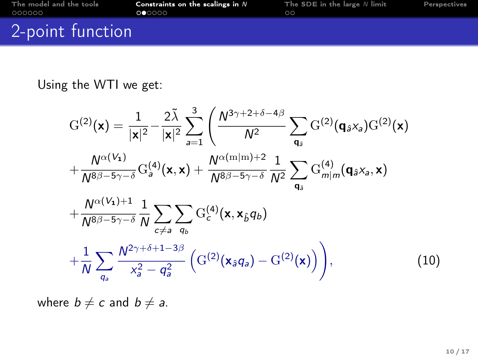| The model and the tools | Constraints on the scalings in $N$ | The SDE in the large $N$ limit | Perspectives |
|-------------------------|------------------------------------|--------------------------------|--------------|
| 000000                  | 000000                             | ററ                             |              |
| 2-point function        |                                    |                                |              |

$$
G^{(2)}(\mathbf{x}) = \frac{1}{|\mathbf{x}|^2} - \frac{2\tilde{\lambda}}{|\mathbf{x}|^2} \sum_{a=1}^3 \left( \frac{N^{3\gamma+2+\delta-4\beta}}{N^2} \sum_{\mathbf{q}_3} G^{(2)}(\mathbf{q}_3 x_a) G^{(2)}(\mathbf{x}) + \frac{N^{\alpha(V_1)}}{N^{8\beta-5\gamma-\delta}} G^{(4)}_{a}(\mathbf{x}, \mathbf{x}) + \frac{N^{\alpha(m|m)+2}}{N^{8\beta-5\gamma-\delta}} \frac{1}{N^2} \sum_{\mathbf{q}_3} G^{(4)}_{m|m}(\mathbf{q}_3 x_a, \mathbf{x}) + \frac{N^{\alpha(V_1)+1}}{N^{8\beta-5\gamma-\delta}} \frac{1}{N} \sum_{c \neq a} \sum_{q_b} G^{(4)}_{c}(\mathbf{x}, \mathbf{x}_{\beta} q_b) + \frac{1}{N} \sum_{q_a} \frac{N^{2\gamma+\delta+1-3\beta}}{x_a^2 - q_a^2} \left( G^{(2)}(\mathbf{x}_3 q_a) - G^{(2)}(\mathbf{x}) \right) \right),
$$
(10)

where  $b \neq c$  and  $b \neq a$ .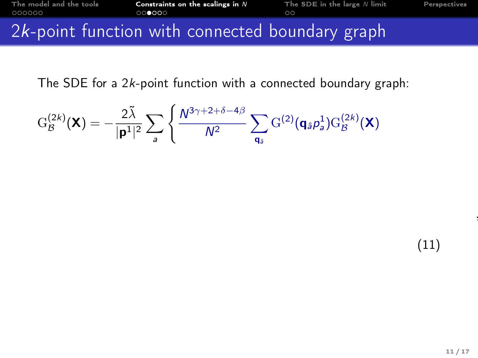<span id="page-14-0"></span>The SDE for a 2k-point function with a connected boundary graph:

$$
\mathrm{G}_\mathcal{B}^{(2k)}(\boldsymbol{X})=-\frac{2\tilde{\lambda}}{|\boldsymbol{\mathsf{p}}^1|^2}\sum_{\mathsf{a}}\left\{\frac{N^{3\gamma+2+\delta-4\beta}}{N^2}\sum_{\mathsf{q}_{\tilde{\mathsf{a}}}}\mathrm{G}^{(2)}(\mathsf{q}_{\tilde{\mathsf{a}}}\rho_{\mathsf{a}}^1)\mathrm{G}_\mathcal{B}^{(2k)}(\boldsymbol{X})\right.
$$

(11)

,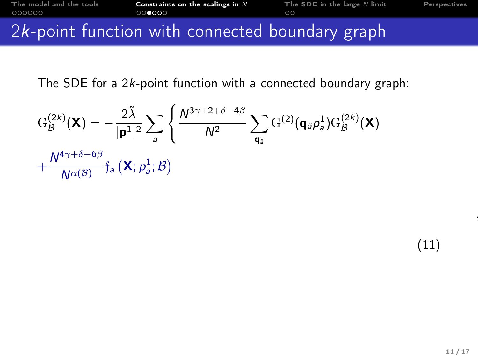The SDE for a 2k-point function with a connected boundary graph:

$$
G_{\mathcal{B}}^{(2k)}(\mathbf{X}) = -\frac{2\tilde{\lambda}}{|\mathbf{p}^{1}|^{2}} \sum_{a} \left\{ \frac{N^{3\gamma+2+\delta-4\beta}}{N^{2}} \sum_{\mathbf{q}_{\hat{a}}} G^{(2)}(\mathbf{q}_{\hat{a}}\rho_{a}^{1})G_{\mathcal{B}}^{(2k)}(\mathbf{X}) + \frac{N^{4\gamma+\delta-6\beta}}{N^{\alpha(\mathcal{B})}} \mathfrak{f}_{a}(\mathbf{X};\rho_{a}^{1};\mathcal{B}) \right\}
$$

(11)

,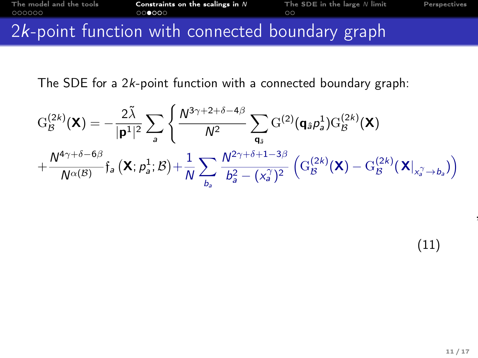The SDE for a 2k-point function with a connected boundary graph:

$$
G_B^{(2k)}(\mathbf{X}) = -\frac{2\tilde{\lambda}}{|\mathbf{p}^1|^2} \sum_a \left\{ \frac{N^{3\gamma+2+\delta-4\beta}}{N^2} \sum_{\mathbf{q}_\mathfrak{s}} G^{(2)}(\mathbf{q}_\mathfrak{s}\rho_\mathfrak{s}^1) G_B^{(2k)}(\mathbf{X}) \right. \\ \left. + \frac{N^{4\gamma+\delta-6\beta}}{N^{\alpha(\mathcal{B})}} \mathfrak{f}_\mathfrak{s} \left( \mathbf{X}; \rho_\mathfrak{s}^1; \mathcal{B} \right) + \frac{1}{N} \sum_{b_\mathfrak{s}} \frac{N^{2\gamma+\delta+1-3\beta}}{b_\mathfrak{s}^2 - (x_\mathfrak{s}^\gamma)^2} \left( G_B^{(2k)}(\mathbf{X}) - G_B^{(2k)}(\mathbf{X}|_{x_\mathfrak{s}^\gamma \to b_\mathfrak{s}}) \right) \right\}
$$

,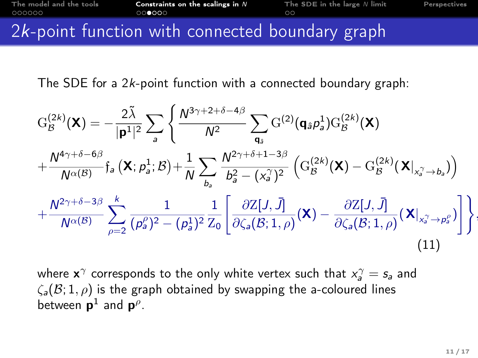The SDE for a 2k-point function with a connected boundary graph:

$$
G_{\mathcal{B}}^{(2k)}(\mathbf{X}) = -\frac{2\tilde{\lambda}}{|\mathbf{p}^{1}|^{2}} \sum_{a} \left\{ \frac{N^{3\gamma+2+\delta-4\beta}}{N^{2}} \sum_{\mathbf{q}_{\delta}} G^{(2)}(\mathbf{q}_{\delta}\rho_{a}^{1})G_{\mathcal{B}}^{(2k)}(\mathbf{X}) + \frac{N^{4\gamma+\delta-6\beta}}{N^{\alpha(\mathcal{B})}} \mathfrak{f}_{a}(\mathbf{X}; \rho_{a}^{1}; \mathcal{B}) + \frac{1}{N} \sum_{b_{a}} \frac{N^{2\gamma+\delta+1-3\beta}}{b_{a}^{2} - (x_{a}^{\gamma})^{2}} \left( G_{\mathcal{B}}^{(2k)}(\mathbf{X}) - G_{\mathcal{B}}^{(2k)}(\mathbf{X}|_{x_{a}^{\gamma} \to b_{a}}) \right) + \frac{N^{2\gamma+\delta-3\beta}}{N^{\alpha(\mathcal{B})}} \sum_{\rho=2}^{k} \frac{1}{(\rho_{a}^{\rho})^{2} - (\rho_{a}^{1})^{2}} \frac{1}{Z_{0}} \left[ \frac{\partial Z[J, \bar{J}]}{\partial \zeta_{a}(\mathcal{B}; 1, \rho)}(\mathbf{X}) - \frac{\partial Z[J, \bar{J}]}{\partial \zeta_{a}(\mathcal{B}; 1, \rho)}(\mathbf{X}|_{x_{a}^{\gamma} \to p_{a}^{\rho}}) \right] \right\},
$$
\n(11)

where  $\mathbf{x}^{\gamma}$  corresponds to the only white vertex such that  $x^{\gamma}_a = s_a$  and  $\zeta_a(\mathcal{B}; 1, \rho)$  is the graph obtained by swapping the a-coloured lines between  $\mathbf{p}^1$  and  $\mathbf{p}^\rho$ .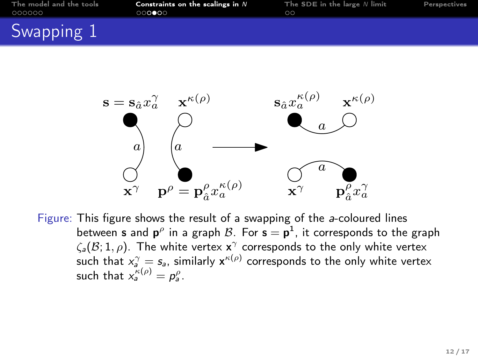| The model and the tools<br>000000 | Constraints on the scalings in $N$<br>000000 | The SDE in the large $N$ limit<br>$\circ$ | Perspectives |
|-----------------------------------|----------------------------------------------|-------------------------------------------|--------------|
| Swapping 1                        |                                              |                                           |              |



Figure: This figure shows the result of a swapping of the a-coloured lines between **s** and  $\mathbf{p}^{\rho}$  in a graph  $\mathcal{B}$ . For  $\mathbf{s} = \mathbf{p}^1$ , it corresponds to the graph  $\zeta_\mathsf{a}(\mathcal{B};1,\rho)$ . The white vertex  $\mathsf{x}^\gamma$  corresponds to the only white vertex such that  $x_a^\gamma = s_a$ , similarly  $x^{\kappa(\rho)}$  corresponds to the only white vertex such that  $x_a^{\kappa(\rho)} = p_a^{\rho}$ .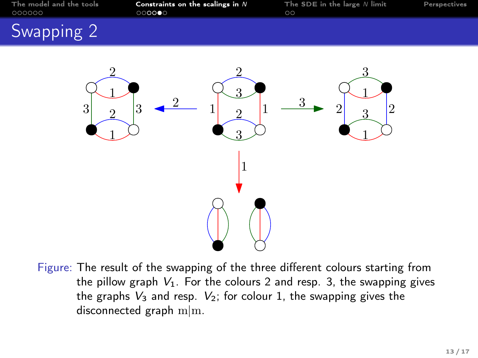| The model and the tools | Constraints on the scalings in $N$ | The SDE in the large $N$ limit | Perspectives |
|-------------------------|------------------------------------|--------------------------------|--------------|
| 000000                  | 000000                             | ററ                             |              |
| Swapping 2              |                                    |                                |              |



Figure: The result of the swapping of the three different colours starting from the pillow graph  $V_1$ . For the colours 2 and resp. 3, the swapping gives the graphs  $V_3$  and resp.  $V_2$ ; for colour 1, the swapping gives the disconnected graph m|m.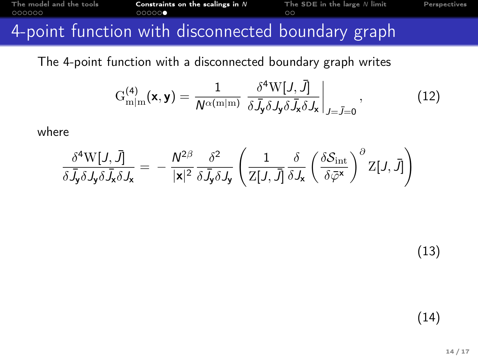<span id="page-20-0"></span>The 4-point function with a disconnected boundary graph writes

$$
G_{m|m}^{(4)}(\mathbf{x},\mathbf{y}) = \frac{1}{N^{\alpha(m|m)}} \left. \frac{\delta^4 W[J,\bar{J}]}{\delta \bar{J}_y \delta J_y \delta \bar{J}_x \delta J_x} \right|_{J=\bar{J}=0}, \tag{12}
$$

where

$$
\frac{\delta^4 W[J,\bar{J}]}{\delta \bar{J}_{\mathbf{y}} \delta J_{\mathbf{y}} \delta \bar{J}_{\mathbf{x}} \delta J_{\mathbf{x}}} = -\frac{N^{2\beta}}{|\mathbf{x}|^2} \frac{\delta^2}{\delta \bar{J}_{\mathbf{y}} \delta J_{\mathbf{y}}} \left(\frac{1}{Z[J,\bar{J}]}\frac{\delta}{\delta J_{\mathbf{x}}} \left(\frac{\delta \mathcal{S}_{\mathrm{int}}}{\delta \bar{\varphi}^{\mathbf{x}}}\right)^{\partial} Z[J,\bar{J}] \right)
$$

(13)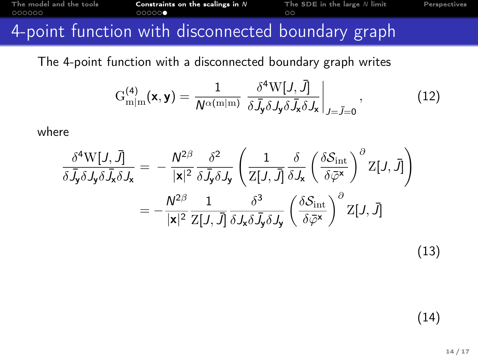The 4-point function with a disconnected boundary graph writes

$$
G_{m|m}^{(4)}(\mathbf{x},\mathbf{y}) = \frac{1}{N^{\alpha(m|m)}} \left. \frac{\delta^4 W[J,\bar{J}]}{\delta \bar{J}_y \delta J_y \delta \bar{J}_x \delta J_x} \right|_{J=\bar{J}=0}, \tag{12}
$$

where

$$
\frac{\delta^4 W[J, \bar{J}]}{\delta \bar{J}_y \delta J_y \delta \bar{J}_x \delta J_x} = -\frac{N^{2\beta}}{|\mathbf{x}|^2} \frac{\delta^2}{\delta \bar{J}_y \delta J_y} \left( \frac{1}{Z[J, \bar{J}]} \frac{\delta}{\delta J_x} \left( \frac{\delta \mathcal{S}_{int}}{\delta \bar{\varphi}^{\mathbf{x}}} \right)^{\partial} Z[J, \bar{J}] \right)
$$

$$
= -\frac{N^{2\beta}}{|\mathbf{x}|^2} \frac{1}{Z[J, \bar{J}]} \frac{\delta^3}{\delta J_x \delta \bar{J}_y \delta J_y} \left( \frac{\delta \mathcal{S}_{int}}{\delta \bar{\varphi}^{\mathbf{x}}} \right)^{\partial} Z[J, \bar{J}]
$$

(13)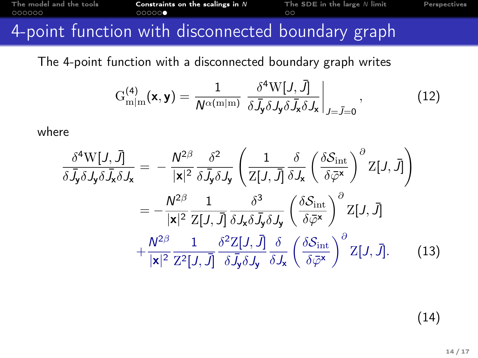The 4-point function with a disconnected boundary graph writes

$$
G_{m|m}^{(4)}(\mathbf{x},\mathbf{y}) = \frac{1}{N^{\alpha(m|m)}} \left. \frac{\delta^4 W[J,\bar{J}]}{\delta \bar{J}_y \delta J_y \delta \bar{J}_x \delta J_x} \right|_{J=\bar{J}=0}, \tag{12}
$$

where

$$
\frac{\delta^4 W[J, \bar{J}]}{\delta \bar{J}_y \delta J_y \delta \bar{J}_x \delta J_x} = -\frac{N^{2\beta}}{|\mathbf{x}|^2} \frac{\delta^2}{\delta \bar{J}_y \delta J_y} \left( \frac{1}{Z[J, \bar{J}]} \frac{\delta}{\delta J_x} \left( \frac{\delta S_{int}}{\delta \bar{\varphi}^{\mathbf{x}}} \right)^{\partial} Z[J, \bar{J}] \right)
$$

$$
= -\frac{N^{2\beta}}{|\mathbf{x}|^2} \frac{1}{Z[J, \bar{J}]} \frac{\delta^3}{\delta J_x \delta \bar{J}_y \delta J_y} \left( \frac{\delta S_{int}}{\delta \bar{\varphi}^{\mathbf{x}}} \right)^{\partial} Z[J, \bar{J}]
$$

$$
+ \frac{N^{2\beta}}{|\mathbf{x}|^2} \frac{1}{Z^2[J, \bar{J}]} \frac{\delta^2 Z[J, \bar{J}]}{\delta \bar{J}_y \delta J_y} \frac{\delta}{\delta J_x} \left( \frac{\delta S_{int}}{\delta \bar{\varphi}^{\mathbf{x}}} \right)^{\partial} Z[J, \bar{J}]. \tag{13}
$$

(14)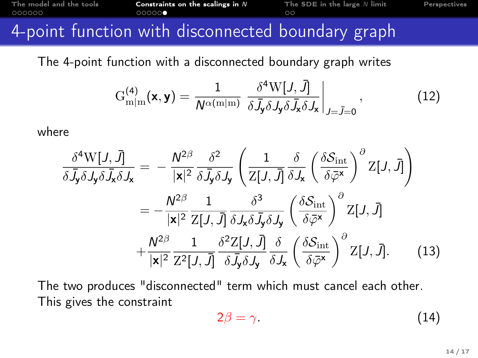The 4-point function with a disconnected boundary graph writes

$$
G_{m|m}^{(4)}(\mathbf{x},\mathbf{y}) = \frac{1}{N^{\alpha(m|m)}} \left. \frac{\delta^4 W[J,\bar{J}]}{\delta \bar{J}_y \delta J_y \delta \bar{J}_x \delta J_x} \right|_{J=\bar{J}=0}, \tag{12}
$$

where

$$
\frac{\delta^4 W[J, \bar{J}]}{\delta \bar{J}_{\mathbf{y}} \delta J_{\mathbf{y}} \delta \bar{J}_{\mathbf{x}} \delta J_{\mathbf{x}}} = -\frac{N^{2\beta}}{|\mathbf{x}|^2} \frac{\delta^2}{\delta \bar{J}_{\mathbf{y}} \delta J_{\mathbf{y}}} \left( \frac{1}{Z[J, \bar{J}]} \frac{\delta}{\delta J_{\mathbf{x}}} \left( \frac{\delta S_{int}}{\delta \bar{\varphi}^{\mathbf{x}}} \right)^{\partial} Z[J, \bar{J}] \right)
$$

$$
= -\frac{N^{2\beta}}{|\mathbf{x}|^2} \frac{1}{Z[J, \bar{J}]} \frac{\delta^3}{\delta J_{\mathbf{x}} \delta \bar{J}_{\mathbf{y}} \delta J_{\mathbf{y}}} \left( \frac{\delta S_{int}}{\delta \bar{\varphi}^{\mathbf{x}}} \right)^{\partial} Z[J, \bar{J}]
$$

$$
+ \frac{N^{2\beta}}{|\mathbf{x}|^2} \frac{1}{Z^2[J, \bar{J}]} \frac{\delta^2 Z[J, \bar{J}]}{\delta \bar{J}_{\mathbf{y}} \delta J_{\mathbf{y}}} \frac{\delta}{\delta J_{\mathbf{x}}} \left( \frac{\delta S_{int}}{\delta \bar{\varphi}^{\mathbf{x}}} \right)^{\partial} Z[J, \bar{J}]. \tag{13}
$$

The two produces "disconnected" term which must cancel each other. This gives the constraint

$$
2\beta = \gamma. \tag{14}
$$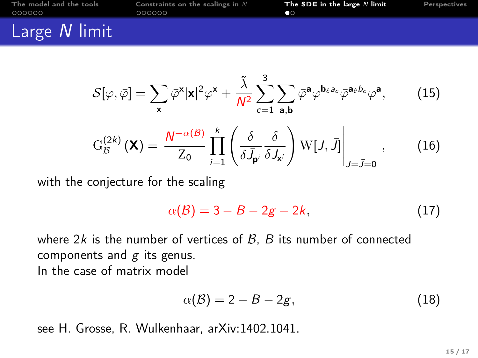<span id="page-24-0"></span>

| The model and the tools | Constraints on the scalings in $N$ | The SDE in the large $N$ limit | Perspectives |
|-------------------------|------------------------------------|--------------------------------|--------------|
| 000000                  | 000000                             | n o                            |              |
| Large N limit           |                                    |                                |              |

$$
\mathcal{S}[\varphi,\bar{\varphi}] = \sum_{\mathbf{x}} \bar{\varphi}^{\mathbf{x}} |\mathbf{x}|^2 \varphi^{\mathbf{x}} + \frac{\tilde{\lambda}}{N^2} \sum_{c=1}^3 \sum_{\mathbf{a},\mathbf{b}} \bar{\varphi}^{\mathbf{a}} \varphi^{\mathbf{b}_{\hat{c}} \partial_c} \bar{\varphi}^{\mathbf{a}_{\hat{c}} b_c} \varphi^{\mathbf{a}}, \qquad (15)
$$

$$
G_B^{(2k)}(\mathbf{X}) = \frac{N^{-\alpha(B)}}{Z_0} \prod_{i=1}^k \left( \frac{\delta}{\delta J_{\mathbf{p}^i}} \frac{\delta}{\delta J_{\mathbf{x}^i}} \right) W[J,\bar{J}] \Big|_{J=\bar{J}=0}, \qquad (16)
$$

with the conjecture for the scaling

$$
\alpha(\mathcal{B}) = 3 - B - 2g - 2k, \tag{17}
$$

where  $2k$  is the number of vertices of  $B$ ,  $B$  its number of connected components and  $g$  its genus. In the case of matrix model

$$
\alpha(\mathcal{B}) = 2 - B - 2g,\tag{18}
$$

see H. Grosse, R. Wulkenhaar, arXiv:1402.1041.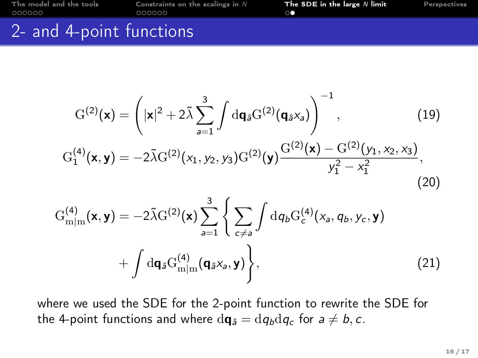<span id="page-25-0"></span>[The model and the tools](#page-2-0) [Constraints on the scalings in](#page-8-0) N [The SDE in the large](#page-24-0) N limit [Perspectives](#page-26-0) 2- and 4-point functions

$$
G^{(2)}(\mathbf{x}) = \left(|\mathbf{x}|^2 + 2\tilde{\lambda} \sum_{a=1}^3 \int d\mathbf{q}_a G^{(2)}(\mathbf{q}_a \mathbf{x}_a)\right)^{-1},
$$
(19)  

$$
G_1^{(4)}(\mathbf{x}, \mathbf{y}) = -2\tilde{\lambda} G^{(2)}(\mathbf{x}_1, \mathbf{y}_2, \mathbf{y}_3) G^{(2)}(\mathbf{y}) \frac{G^{(2)}(\mathbf{x}) - G^{(2)}(\mathbf{y}_1, \mathbf{x}_2, \mathbf{x}_3)}{\mathbf{y}_1^2 - \mathbf{x}_1^2},
$$
(20)

$$
G_{m|m}^{(4)}(\mathbf{x}, \mathbf{y}) = -2\tilde{\lambda}G^{(2)}(\mathbf{x}) \sum_{a=1}^{3} \left\{ \sum_{c \neq a} \int d q_b G_c^{(4)}(x_a, q_b, y_c, \mathbf{y}) + \int d\mathbf{q}_{\hat{a}} G_{m|m}^{(4)}(\mathbf{q}_{\hat{a}} x_a, \mathbf{y}) \right\},
$$
\n(21)

where we used the SDE for the 2-point function to rewrite the SDE for the 4-point functions and where  $d\mathbf{q}_{\hat{a}} = dq_b dq_c$  for  $a \neq b, c$ .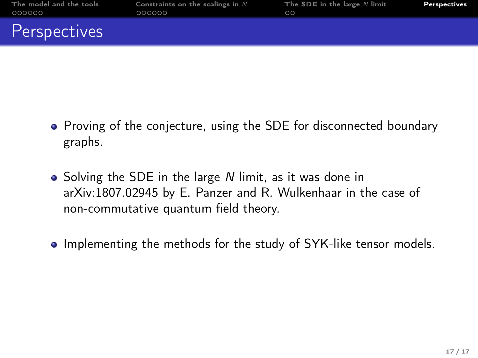<span id="page-26-0"></span>

| The model and the tools<br>000000 | Constraints on the scalings in $N$<br>000000 | The SDE in the large $N$ limit | Perspectives |
|-----------------------------------|----------------------------------------------|--------------------------------|--------------|
| Perspectives                      |                                              |                                |              |

- Proving of the conjecture, using the SDE for disconnected boundary graphs.
- Solving the SDE in the large N limit, as it was done in arXiv:1807.02945 by E. Panzer and R. Wulkenhaar in the case of non-commutative quantum field theory.
- Implementing the methods for the study of SYK-like tensor models.